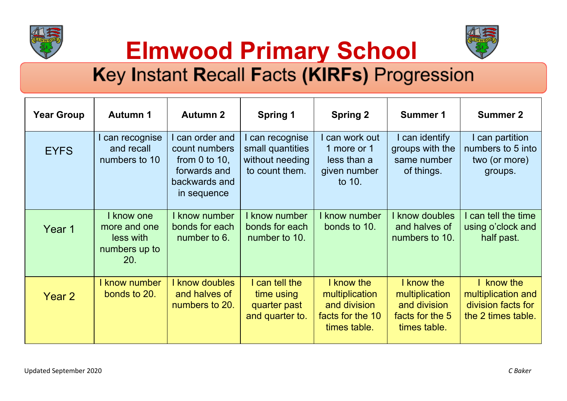



**Elmwood Primary School**

## Key Instant Recall Facts (KIRFs) Progression

| <b>Year Group</b> | <b>Autumn 1</b>                                                 | <b>Autumn 2</b>                                                                                        | <b>Spring 1</b>                                                          | <b>Spring 2</b>                                                                  | <b>Summer 1</b>                                                                 | <b>Summer 2</b>                                                            |
|-------------------|-----------------------------------------------------------------|--------------------------------------------------------------------------------------------------------|--------------------------------------------------------------------------|----------------------------------------------------------------------------------|---------------------------------------------------------------------------------|----------------------------------------------------------------------------|
| <b>EYFS</b>       | I can recognise<br>and recall<br>numbers to 10                  | I can order and<br>count numbers<br>from $0$ to $10$ ,<br>forwards and<br>backwards and<br>in sequence | I can recognise<br>small quantities<br>without needing<br>to count them. | can work out<br>1 more or 1<br>less than a<br>given number<br>to 10.             | I can identify<br>groups with the<br>same number<br>of things.                  | I can partition<br>numbers to 5 into<br>two (or more)<br>groups.           |
| Year 1            | I know one<br>more and one<br>less with<br>numbers up to<br>20. | I know number<br>bonds for each<br>number to 6.                                                        | know number<br>bonds for each<br>number to 10.                           | know number<br>bonds to 10.                                                      | know doubles<br>and halves of<br>numbers to 10.                                 | I can tell the time<br>using o'clock and<br>half past.                     |
| Year 2            | know number<br>bonds to 20.                                     | <b>know doubles</b><br>and halves of<br>numbers to 20.                                                 | I can tell the<br>time using<br>quarter past<br>and quarter to.          | I know the<br>multiplication<br>and division<br>facts for the 10<br>times table. | I know the<br>multiplication<br>and division<br>facts for the 5<br>times table. | know the<br>multiplication and<br>division facts for<br>the 2 times table. |